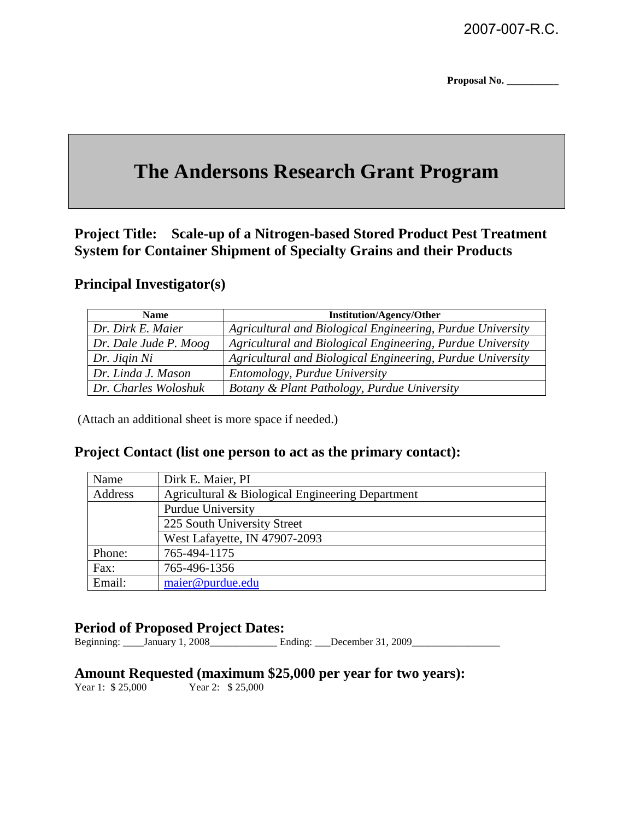**Proposal No. \_\_\_\_\_\_\_\_\_\_** 

## **The Andersons Research Grant Program**

**Project Title: Scale-up of a Nitrogen-based Stored Product Pest Treatment System for Container Shipment of Specialty Grains and their Products** 

#### **Principal Investigator(s)**

| <b>Name</b>           | <b>Institution/Agency/Other</b>                            |
|-----------------------|------------------------------------------------------------|
| Dr. Dirk E. Maier     | Agricultural and Biological Engineering, Purdue University |
| Dr. Dale Jude P. Moog | Agricultural and Biological Engineering, Purdue University |
| Dr. Jigin Ni          | Agricultural and Biological Engineering, Purdue University |
| Dr. Linda J. Mason    | Entomology, Purdue University                              |
| Dr. Charles Woloshuk  | Botany & Plant Pathology, Purdue University                |

(Attach an additional sheet is more space if needed.)

#### **Project Contact (list one person to act as the primary contact):**

| Name    | Dirk E. Maier, PI                                |
|---------|--------------------------------------------------|
| Address | Agricultural & Biological Engineering Department |
|         | Purdue University                                |
|         | 225 South University Street                      |
|         | West Lafayette, IN 47907-2093                    |
| Phone:  | 765-494-1175                                     |
| Fax:    | 765-496-1356                                     |
| Email:  | maier@purdue.edu                                 |

### **Period of Proposed Project Dates:**

Beginning: \_\_\_\_January 1, 2008\_\_\_\_\_\_\_\_\_\_\_\_\_ Ending: \_\_\_December 31, 2009\_\_\_\_\_\_\_\_\_\_\_\_\_\_\_\_\_

# **Amount Requested (maximum \$25,000 per year for two years):**<br>Year 1: \$25,000 Year 2: \$25,000

Year 2: \$ 25,000